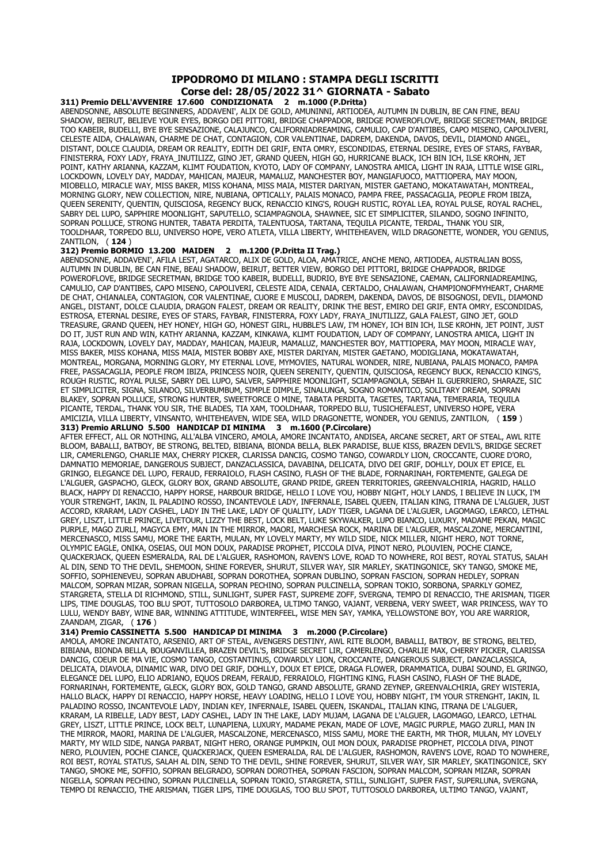## **IPPODROMO DI MILANO : STAMPA DEGLI ISCRITTI Corse del: 28/05/2022 31^ GIORNATA - Sabato**

**311) Premio DELL'AVVENIRE 17.600 CONDIZIONATA 2 m.1000 (P.Dritta)** ABENDSONNE, ABSOLUTE BEGINNERS, ADDAVENI', ALIX DE GOLD, AMUNINNI, ARTIODEA, AUTUMN IN DUBLIN, BE CAN FINE, BEAU SHADOW, BEIRUT, BELIEVE YOUR EYES, BORGO DEI PITTORI, BRIDGE CHAPPADOR, BRIDGE POWEROFLOVE, BRIDGE SECRETMAN, BRIDGE TOO KABEIR, BUDELLI, BYE BYE SENSAZIONE, CALAJUNCO, CALIFORNIADREAMING, CAMULIO, CAP D'ANTIBES, CAPO MISENO, CAPOLIVERI, CELESTE AIDA, CHALAWAN, CHARME DE CHAT, CONTAGION, COR VALENTINAE, DADREM, DAKENDA, DAVOS, DEVIL, DIAMOND ANGEL, DISTANT, DOLCE CLAUDIA, DREAM OR REALITY, EDITH DEI GRIF, ENTA OMRY, ESCONDIDAS, ETERNAL DESIRE, EYES OF STARS, FAYBAR, FINISTERRA, FOXY LADY, FRAYA\_INUTILIZZ, GINO JET, GRAND QUEEN, HIGH GO, HURRICANE BLACK, ICH BIN ICH, ILSE KROHN, JET POINT, KATHY ARIANNA, KAZZAM, KLIMT FOUDATION, KYOTO, LADY OF COMPANY, LANOSTRA AMICA, LIGHT IN RAJA, LITTLE WISE GIRL, LOCKDOWN, LOVELY DAY, MADDAY, MAHICAN, MAJEUR, MAMALUZ, MANCHESTER BOY, MANGIAFUOCO, MATTIOPERA, MAY MOON, MIOBELLO, MIRACLE WAY, MISS BAKER, MISS KOHANA, MISS MAIA, MISTER DARIYAN, MISTER GAETANO, MOKATAWATAH, MONTREAL, MORNING GLORY, NEW COLLECTION, NIRE, NUBIANA, OPTICALLY, PALAIS MONACO, PAMPA FREE, PASSACAGLIA, PEOPLE FROM IBIZA, QUEEN SERENITY, QUENTIN, QUISCIOSA, REGENCY BUCK, RENACCIO KING'S, ROUGH RUSTIC, ROYAL LEA, ROYAL PULSE, ROYAL RACHEL, SABRY DEL LUPO, SAPPHIRE MOONLIGHT, SAPUTELLO, SCIAMPAGNOLA, SHAWNEE, SIC ET SIMPLICITER, SILANDO, SOGNO INFINITO, SOPRAN POLLUCE, STRONG HUNTER, TABATA PERDITA, TALENTUOSA, TARTANA, TEQUILA PICANTE, TERDAL, THANK YOU SIR, TOOLDHAAR, TORPEDO BLU, UNIVERSO HOPE, VERO ATLETA, VILLA LIBERTY, WHITEHEAVEN, WILD DRAGONETTE, WONDER, YOU GENIUS, ZANTILON, ( **124** )

## **312) Premio BORMIO 13.200 MAIDEN 2 m.1200 (P.Dritta II Trag.)**

ABENDSONNE, ADDAVENI', AFILA LEST, AGATARCO, ALIX DE GOLD, ALOA, AMATRICE, ANCHE MENO, ARTIODEA, AUSTRALIAN BOSS, AUTUMN IN DUBLIN, BE CAN FINE, BEAU SHADOW, BEIRUT, BETTER VIEW, BORGO DEI PITTORI, BRIDGE CHAPPADOR, BRIDGE POWEROFLOVE, BRIDGE SECRETMAN, BRIDGE TOO KABEIR, BUDELLI, BUDRIO, BYE BYE SENSAZIONE, CAEMAN, CALIFORNIADREAMING, CAMULIO, CAP D'ANTIBES, CAPO MISENO, CAPOLIVERI, CELESTE AIDA, CENAIA, CERTALDO, CHALAWAN, CHAMPIONOFMYHEART, CHARME DE CHAT, CHIANALEA, CONTAGION, COR VALENTINAE, CUORE E MUSCOLI, DADREM, DAKENDA, DAVOS, DE BISOGNOSI, DEVIL, DIAMOND ANGEL, DISTANT, DOLCE CLAUDIA, DRAGON FALEST, DREAM OR REALITY, DRINK THE BEST, EMIRO DEI GRIF, ENTA OMRY, ESCONDIDAS, ESTROSA, ETERNAL DESIRE, EYES OF STARS, FAYBAR, FINISTERRA, FOXY LADY, FRAYA\_INUTILIZZ, GALA FALEST, GINO JET, GOLD TREASURE, GRAND QUEEN, HEY HONEY, HIGH GO, HONEST GIRL, HUBBLE'S LAW, I'M HONEY, ICH BIN ICH, ILSE KROHN, JET POINT, JUST DO IT, JUST RUN AND WIN, KATHY ARIANNA, KAZZAM, KINKAWA, KLIMT FOUDATION, LADY OF COMPANY, LANOSTRA AMICA, LIGHT IN RAJA, LOCKDOWN, LOVELY DAY, MADDAY, MAHICAN, MAJEUR, MAMALUZ, MANCHESTER BOY, MATTIOPERA, MAY MOON, MIRACLE WAY, MISS BAKER, MISS KOHANA, MISS MAIA, MISTER BOBBY AXE, MISTER DARIYAN, MISTER GAETANO, MODIGLIANA, MOKATAWATAH, MONTREAL, MORGANA, MORNING GLORY, MY ETERNAL LOVE, MYMOVIES, NATURAL WONDER, NIRE, NUBIANA, PALAIS MONACO, PAMPA FREE, PASSACAGLIA, PEOPLE FROM IBIZA, PRINCESS NOIR, QUEEN SERENITY, QUENTIN, QUISCIOSA, REGENCY BUCK, RENACCIO KING'S, ROUGH RUSTIC, ROYAL PULSE, SABRY DEL LUPO, SALVER, SAPPHIRE MOONLIGHT, SCIAMPAGNOLA, SEBAH IL GUERRIERO, SHARAZE, SIC ET SIMPLICITER, SIGNA, SILANDO, SILVERBUMBUM, SIMPLE DIMPLE, SINALUNGA, SOGNO ROMANTICO, SOLITARY DREAM, SOPRAN BLAKEY, SOPRAN POLLUCE, STRONG HUNTER, SWEETFORCE O MINE, TABATA PERDITA, TAGETES, TARTANA, TEMERARIA, TEQUILA PICANTE, TERDAL, THANK YOU SIR, THE BLADES, TIA XAM, TOOLDHAAR, TORPEDO BLU, TUSICHEFALEST, UNIVERSO HOPE, VERA AMICIZIA, VILLA LIBERTY, VINSANTO, WHITEHEAVEN, WIDE SEA, WILD DRAGONETTE, WONDER, YOU GENIUS, ZANTILON, ( **159** ) **313) Premio ARLUNO 5.500 HANDICAP DI MINIMA 3 m.1600 (P.Circolare)**

AFTER EFFECT, ALL OR NOTHING, ALL'ALBA VINCERO, AMOLA, AMORE INCANTATO, ANDISEA, ARCANE SECRET, ART OF STEAL, AWL RITE BLOOM, BABALLI, BATBOY, BE STRONG, BELTED, BIBIANA, BIONDA BELLA, BLEK PARADISE, BLUE KISS, BRAZEN DEVIL'S, BRIDGE SECRET LIR, CAMERLENGO, CHARLIE MAX, CHERRY PICKER, CLARISSA DANCIG, COSMO TANGO, COWARDLY LION, CROCCANTE, CUORE D'ORO, DAMNATIO MEMORIAE, DANGEROUS SUBJECT, DANZACLASSICA, DAVABINA, DELICATA, DIVO DEI GRIF, DOHLLY, DOUX ET EPICE, EL GRINGO, ELEGANCE DEL LUPO, FERAUD, FERRAIOLO, FLASH CASINO, FLASH OF THE BLADE, FORNARINAH, FORTEMENTE, GALEGA DE L'ALGUER, GASPACHO, GLECK, GLORY BOX, GRAND ABSOLUTE, GRAND PRIDE, GREEN TERRITORIES, GREENVALCHIRIA, HAGRID, HALLO BLACK, HAPPY DI RENACCIO, HAPPY HORSE, HARBOUR BRIDGE, HELLO I LOVE YOU, HOBBY NIGHT, HOLY LANDS, I BELIEVE IN LUCK, I'M YOUR STRENGHT, IAKIN, IL PALADINO ROSSO, INCANTEVOLE LADY, INFERNALE, ISABEL QUEEN, ITALIAN KING, ITRANA DE L'ALGUER, JUST ACCORD, KRARAM, LADY CASHEL, LADY IN THE LAKE, LADY OF QUALITY, LADY TIGER, LAGANA DE L'ALGUER, LAGOMAGO, LEARCO, LETHAL GREY, LISZT, LITTLE PRINCE, LIVETOUR, LIZZY THE BEST, LOCK BELT, LUKE SKYWALKER, LUPO BIANCO, LUXURY, MADAME PEKAN, MAGIC PURPLE, MAGO ZURLI, MAGYCA EMY, MAN IN THE MIRROR, MAORI, MARCHESA ROCK, MARINA DE L'ALGUER, MASCALZONE, MERCANTINI, MERCENASCO, MISS SAMU, MORE THE EARTH, MULAN, MY LOVELY MARTY, MY WILD SIDE, NICK MILLER, NIGHT HERO, NOT TORNE, OLYMPIC EAGLE, ONIKA, OSEIAS, OUI MON DOUX, PARADISE PROPHET, PICCOLA DIVA, PINOT NERO, PLOUVIEN, POCHE CIANCE, QUACKERJACK, QUEEN ESMERALDA, RAL DE L'ALGUER, RASHOMON, RAVEN'S LOVE, ROAD TO NOWHERE, ROI BEST, ROYAL STATUS, SALAH AL DIN, SEND TO THE DEVIL, SHEMOON, SHINE FOREVER, SHURUT, SILVER WAY, SIR MARLEY, SKATINGONICE, SKY TANGO, SMOKE ME, SOFFIO, SOPHIENEVEU, SOPRAN ABUDHABI, SOPRAN DOROTHEA, SOPRAN DUBLINO, SOPRAN FASCION, SOPRAN HEDLEY, SOPRAN MALCOM, SOPRAN MIZAR, SOPRAN NIGELLA, SOPRAN PECHINO, SOPRAN PULCINELLA, SOPRAN TOKIO, SORBONA, SPARKLY GOMEZ, STARGRETA, STELLA DI RICHMOND, STILL, SUNLIGHT, SUPER FAST, SUPREME ZOFF, SVERGNA, TEMPO DI RENACCIO, THE ARISMAN, TIGER LIPS, TIME DOUGLAS, TOO BLU SPOT, TUTTOSOLO DARBOREA, ULTIMO TANGO, VAJANT, VERBENA, VERY SWEET, WAR PRINCESS, WAY TO LULU, WENDY BABY, WINE BAR, WINNING ATTITUDE, WINTERFEEL, WISE MEN SAY, YAMKA, YELLOWSTONE BOY, YOU ARE WARRIOR, ZAANDAM, ZIGAR, ( **176** )

## **314) Premio CASSINETTA 5.500 HANDICAP DI MINIMA 3 m.2000 (P.Circolare)**

AMOLA, AMORE INCANTATO, ARSENIO, ART OF STEAL, AVENGERS DESTINY, AWL RITE BLOOM, BABALLI, BATBOY, BE STRONG, BELTED, BIBIANA, BIONDA BELLA, BOUGANVILLEA, BRAZEN DEVIL'S, BRIDGE SECRET LIR, CAMERLENGO, CHARLIE MAX, CHERRY PICKER, CLARISSA DANCIG, COEUR DE MA VIE, COSMO TANGO, COSTANTINUS, COWARDLY LION, CROCCANTE, DANGEROUS SUBJECT, DANZACLASSICA, DELICATA, DIAVOLA, DINAMIC WAR, DIVO DEI GRIF, DOHLLY, DOUX ET EPICE, DRAGA FLOWER, DRAMMATICA, DUBAI SOUND, EL GRINGO, ELEGANCE DEL LUPO, ELIO ADRIANO, EQUOS DREAM, FERAUD, FERRAIOLO, FIGHTING KING, FLASH CASINO, FLASH OF THE BLADE, FORNARINAH, FORTEMENTE, GLECK, GLORY BOX, GOLD TANGO, GRAND ABSOLUTE, GRAND ZEYNEP, GREENVALCHIRIA, GREY WISTERIA, HALLO BLACK, HAPPY DI RENACCIO, HAPPY HORSE, HEAVY LOADING, HELLO I LOVE YOU, HOBBY NIGHT, I'M YOUR STRENGHT, IAKIN, IL PALADINO ROSSO, INCANTEVOLE LADY, INDIAN KEY, INFERNALE, ISABEL QUEEN, ISKANDAL, ITALIAN KING, ITRANA DE L'ALGUER, KRARAM, LA RIBELLE, LADY BEST, LADY CASHEL, LADY IN THE LAKE, LADY MUJAM, LAGANA DE L'ALGUER, LAGOMAGO, LEARCO, LETHAL GREY, LISZT, LITTLE PRINCE, LOCK BELT, LUNAPIENA, LUXURY, MADAME PEKAN, MADE OF LOVE, MAGIC PURPLE, MAGO ZURLI, MAN IN THE MIRROR, MAORI, MARINA DE L'ALGUER, MASCALZONE, MERCENASCO, MISS SAMU, MORE THE EARTH, MR THOR, MULAN, MY LOVELY MARTY, MY WILD SIDE, NANGA PARBAT, NIGHT HERO, ORANGE PUMPKIN, OUI MON DOUX, PARADISE PROPHET, PICCOLA DIVA, PINOT NERO, PLOUVIEN, POCHE CIANCE, QUACKERJACK, QUEEN ESMERALDA, RAL DE L'ALGUER, RASHOMON, RAVEN'S LOVE, ROAD TO NOWHERE, ROI BEST, ROYAL STATUS, SALAH AL DIN, SEND TO THE DEVIL, SHINE FOREVER, SHURUT, SILVER WAY, SIR MARLEY, SKATINGONICE, SKY TANGO, SMOKE ME, SOFFIO, SOPRAN BELGRADO, SOPRAN DOROTHEA, SOPRAN FASCION, SOPRAN MALCOM, SOPRAN MIZAR, SOPRAN NIGELLA, SOPRAN PECHINO, SOPRAN PULCINELLA, SOPRAN TOKIO, STARGRETA, STILL, SUNLIGHT, SUPER FAST, SUPERLUNA, SVERGNA, TEMPO DI RENACCIO, THE ARISMAN, TIGER LIPS, TIME DOUGLAS, TOO BLU SPOT, TUTTOSOLO DARBOREA, ULTIMO TANGO, VAJANT,